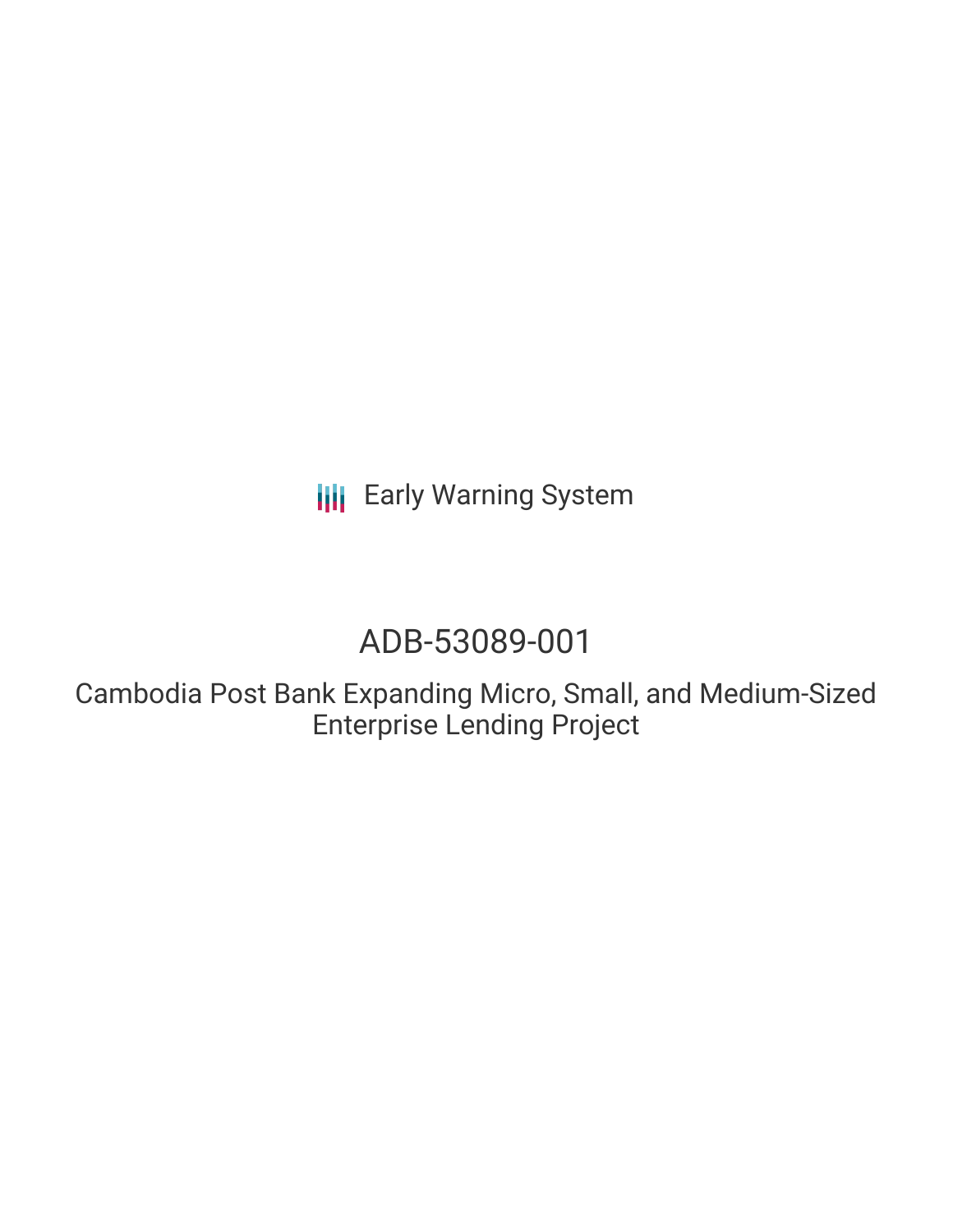**III** Early Warning System

# ADB-53089-001

Cambodia Post Bank Expanding Micro, Small, and Medium-Sized Enterprise Lending Project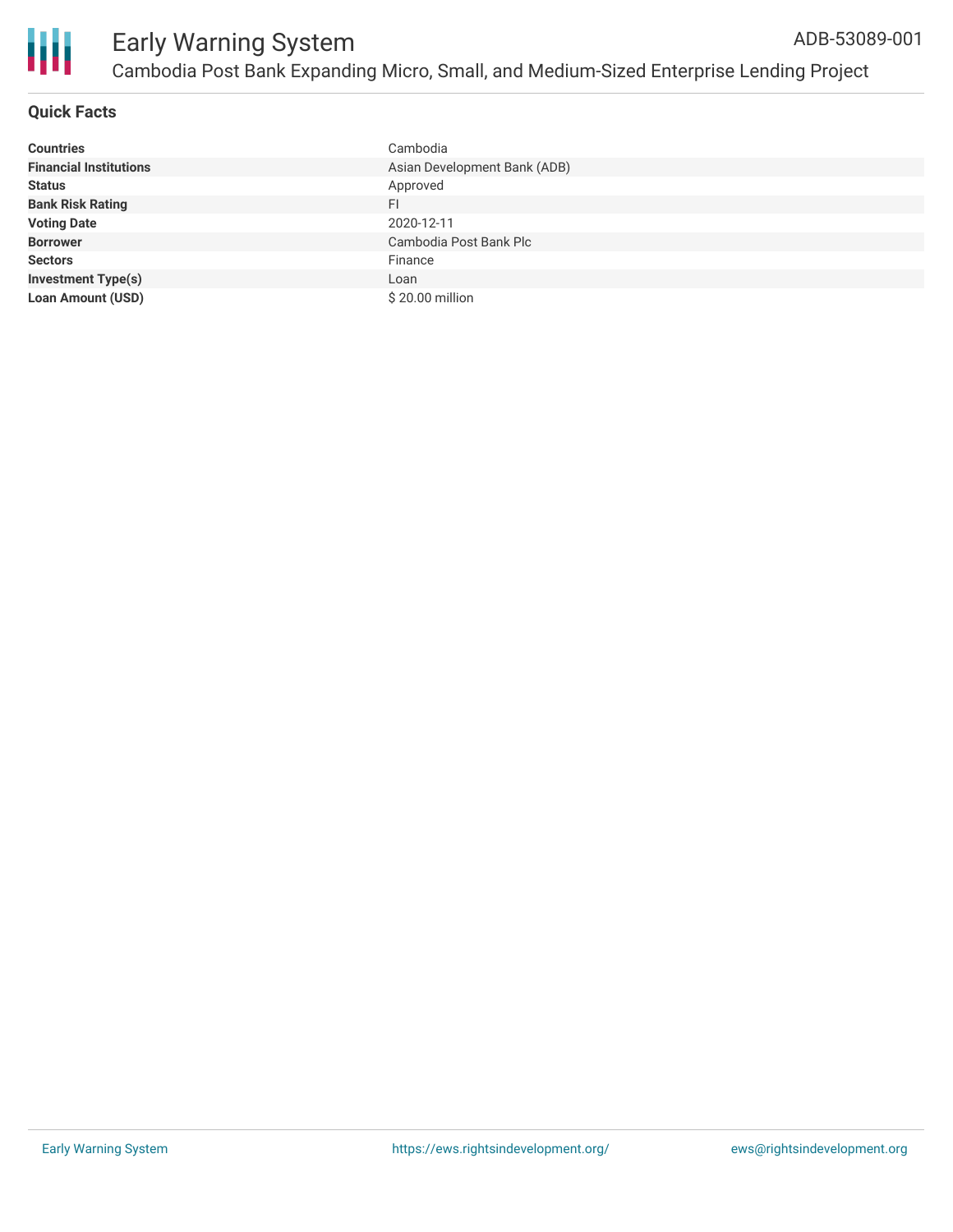

## **Quick Facts**

| <b>Countries</b>              | Cambodia                     |
|-------------------------------|------------------------------|
| <b>Financial Institutions</b> | Asian Development Bank (ADB) |
| <b>Status</b>                 | Approved                     |
| <b>Bank Risk Rating</b>       | <b>FI</b>                    |
| <b>Voting Date</b>            | 2020-12-11                   |
| <b>Borrower</b>               | Cambodia Post Bank Plc       |
| <b>Sectors</b>                | Finance                      |
| <b>Investment Type(s)</b>     | Loan                         |
| <b>Loan Amount (USD)</b>      | \$20.00 million              |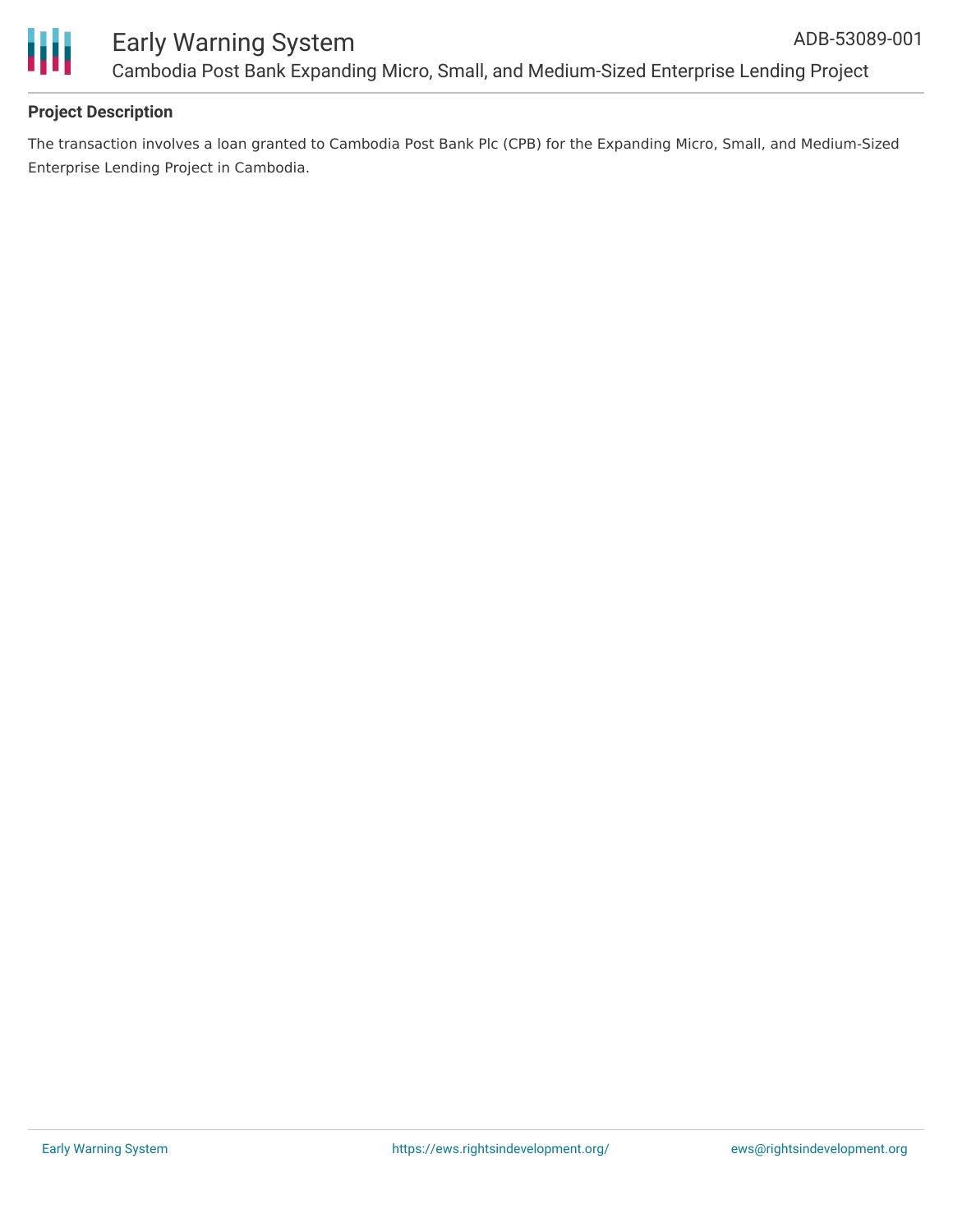

# **Project Description**

The transaction involves a loan granted to Cambodia Post Bank Plc (CPB) for the Expanding Micro, Small, and Medium-Sized Enterprise Lending Project in Cambodia.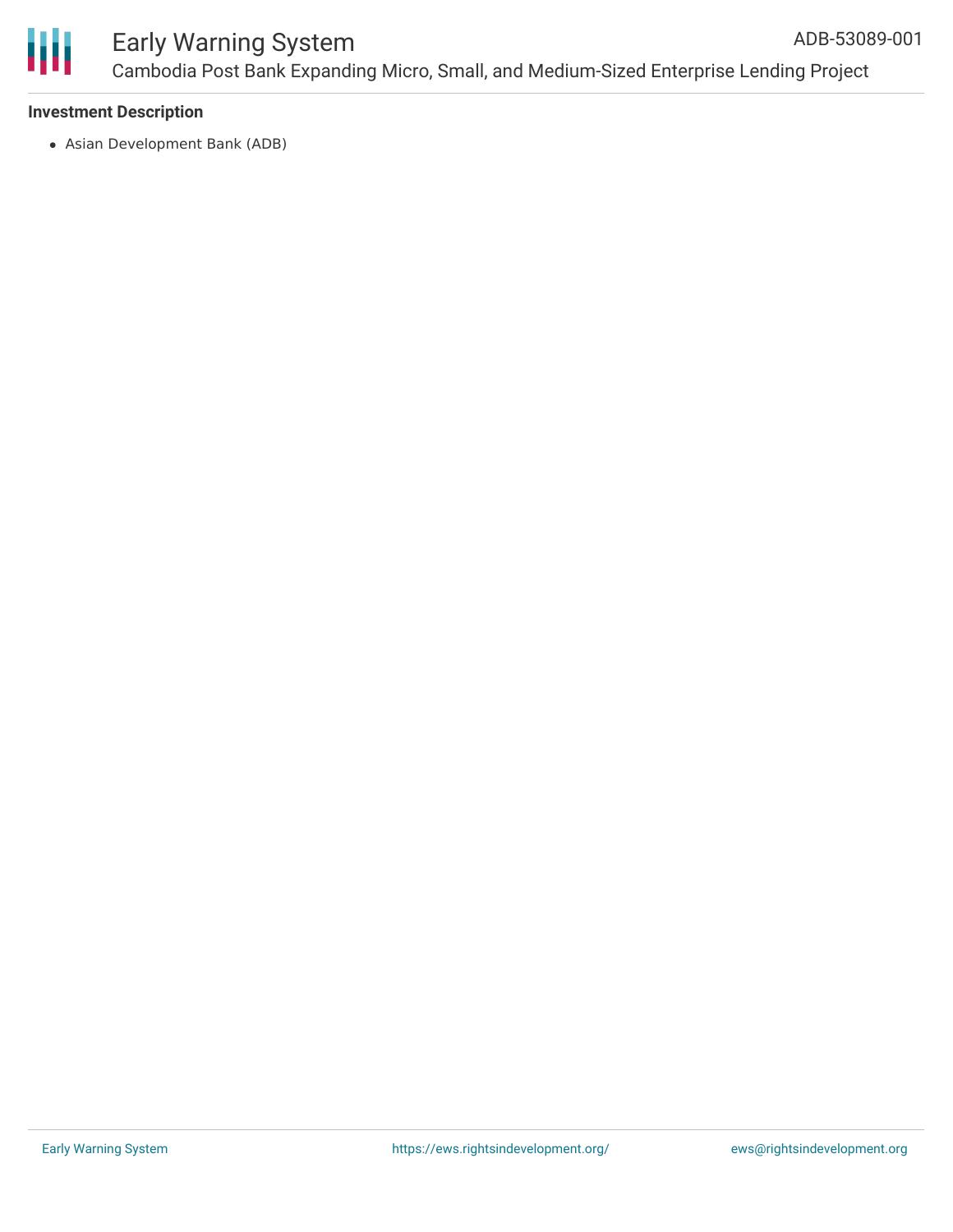

### **Investment Description**

Asian Development Bank (ADB)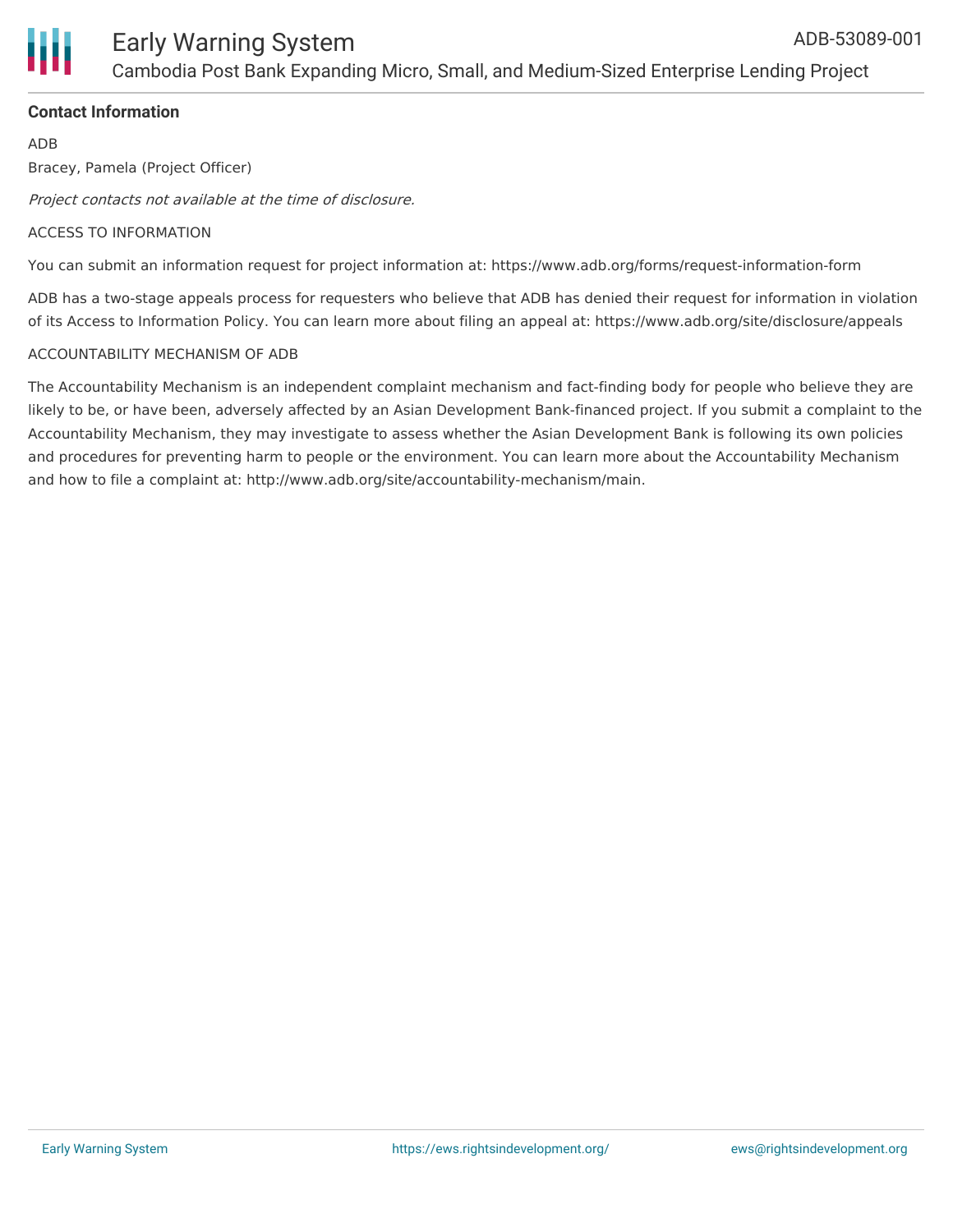

### **Contact Information**

ADB

Bracey, Pamela (Project Officer)

Project contacts not available at the time of disclosure.

#### ACCESS TO INFORMATION

You can submit an information request for project information at: https://www.adb.org/forms/request-information-form

ADB has a two-stage appeals process for requesters who believe that ADB has denied their request for information in violation of its Access to Information Policy. You can learn more about filing an appeal at: https://www.adb.org/site/disclosure/appeals

#### ACCOUNTABILITY MECHANISM OF ADB

The Accountability Mechanism is an independent complaint mechanism and fact-finding body for people who believe they are likely to be, or have been, adversely affected by an Asian Development Bank-financed project. If you submit a complaint to the Accountability Mechanism, they may investigate to assess whether the Asian Development Bank is following its own policies and procedures for preventing harm to people or the environment. You can learn more about the Accountability Mechanism and how to file a complaint at: http://www.adb.org/site/accountability-mechanism/main.